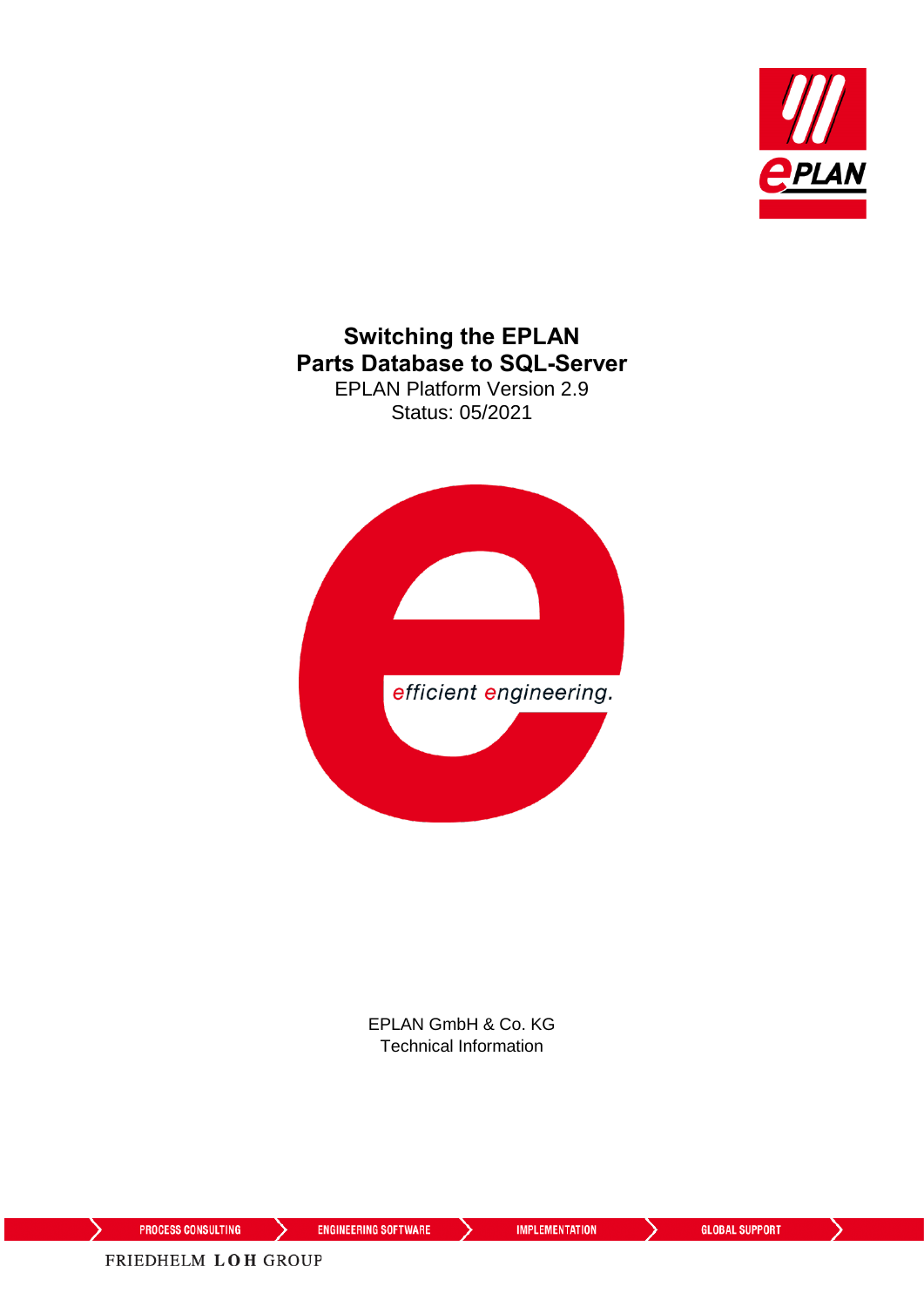

### **Switching the EPLAN Parts Database to SQL-Server** EPLAN Platform Version 2.9

Status: 05/2021



EPLAN GmbH & Co. KG Technical Information

⋋

↘

ゝ

⋋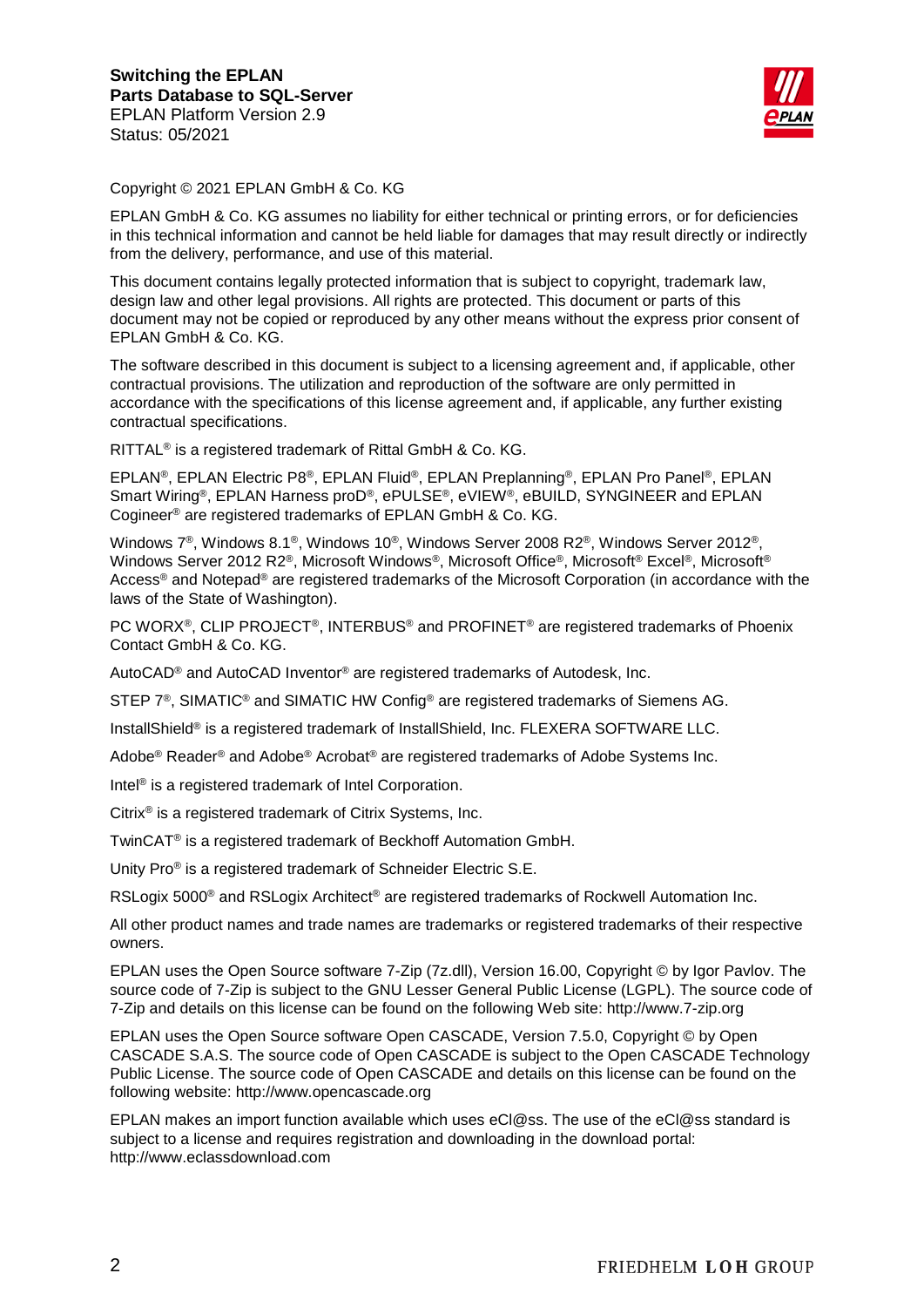

Copyright © 2021 EPLAN GmbH & Co. KG

EPLAN GmbH & Co. KG assumes no liability for either technical or printing errors, or for deficiencies in this technical information and cannot be held liable for damages that may result directly or indirectly from the delivery, performance, and use of this material.

This document contains legally protected information that is subject to copyright, trademark law, design law and other legal provisions. All rights are protected. This document or parts of this document may not be copied or reproduced by any other means without the express prior consent of EPLAN GmbH & Co. KG.

The software described in this document is subject to a licensing agreement and, if applicable, other contractual provisions. The utilization and reproduction of the software are only permitted in accordance with the specifications of this license agreement and, if applicable, any further existing contractual specifications.

RITTAL® is a registered trademark of Rittal GmbH & Co. KG.

EPLAN®, EPLAN Electric P8®, EPLAN Fluid®, EPLAN Preplanning®, EPLAN Pro Panel®, EPLAN Smart Wiring®, EPLAN Harness proD®, ePULSE®, eVIEW®, eBUILD, SYNGINEER and EPLAN Cogineer® are registered trademarks of EPLAN GmbH & Co. KG.

Windows 7®, Windows 8.1®, Windows 10®, Windows Server 2008 R2®, Windows Server 2012®, Windows Server 2012 R2<sup>®</sup>, Microsoft Windows®, Microsoft Office®, Microsoft® Excel®, Microsoft® Access® and Notepad® are registered trademarks of the Microsoft Corporation (in accordance with the laws of the State of Washington).

PC WORX®, CLIP PROJECT®, INTERBUS® and PROFINET® are registered trademarks of Phoenix Contact GmbH & Co. KG.

AutoCAD® and AutoCAD Inventor® are registered trademarks of Autodesk, Inc.

STEP 7<sup>®</sup>, SIMATIC<sup>®</sup> and SIMATIC HW Config<sup>®</sup> are registered trademarks of Siemens AG.

InstallShield® is a registered trademark of InstallShield, Inc. FLEXERA SOFTWARE LLC.

Adobe® Reader® and Adobe® Acrobat® are registered trademarks of Adobe Systems Inc.

Intel® is a registered trademark of Intel Corporation.

Citrix® is a registered trademark of Citrix Systems, Inc.

TwinCAT® is a registered trademark of Beckhoff Automation GmbH.

Unity Pro® is a registered trademark of Schneider Electric S.E.

RSLogix 5000<sup>®</sup> and RSLogix Architect<sup>®</sup> are registered trademarks of Rockwell Automation Inc.

All other product names and trade names are trademarks or registered trademarks of their respective owners.

EPLAN uses the Open Source software 7-Zip (7z.dll), Version 16.00, Copyright © by Igor Pavlov. The source code of 7-Zip is subject to the GNU Lesser General Public License (LGPL). The source code of 7-Zip and details on this license can be found on the following Web site: http://www.7-zip.org

EPLAN uses the Open Source software Open CASCADE, Version 7.5.0, Copyright © by Open CASCADE S.A.S. The source code of Open CASCADE is subject to the Open CASCADE Technology Public License. The source code of Open CASCADE and details on this license can be found on the following website: http://www.opencascade.org

EPLAN makes an import function available which uses eCl@ss. The use of the eCl@ss standard is subject to a license and requires registration and downloading in the download portal: http://www.eclassdownload.com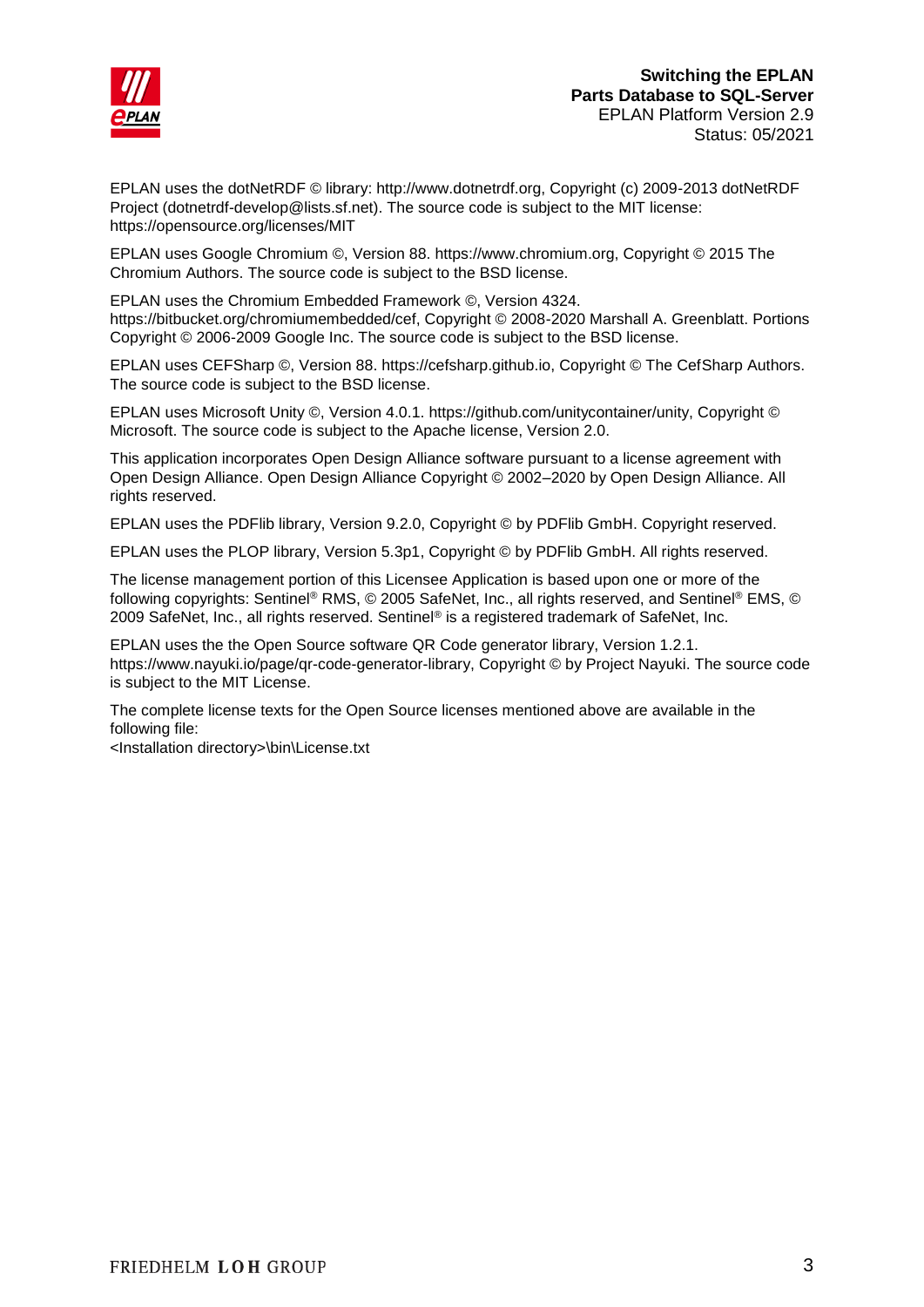

EPLAN uses the dotNetRDF © library: http://www.dotnetrdf.org, Copyright (c) 2009-2013 dotNetRDF Project (dotnetrdf-develop@lists.sf.net). The source code is subject to the MIT license: https://opensource.org/licenses/MIT

EPLAN uses Google Chromium ©, Version 88. https://www.chromium.org, Copyright © 2015 The Chromium Authors. The source code is subject to the BSD license.

EPLAN uses the Chromium Embedded Framework ©, Version 4324. https://bitbucket.org/chromiumembedded/cef, Copyright © 2008-2020 Marshall A. Greenblatt. Portions Copyright © 2006-2009 Google Inc. The source code is subject to the BSD license.

EPLAN uses CEFSharp ©, Version 88. https://cefsharp.github.io, Copyright © The CefSharp Authors. The source code is subject to the BSD license.

EPLAN uses Microsoft Unity ©, Version 4.0.1. https://github.com/unitycontainer/unity, Copyright © Microsoft. The source code is subject to the Apache license, Version 2.0.

This application incorporates Open Design Alliance software pursuant to a license agreement with Open Design Alliance. Open Design Alliance Copyright © 2002–2020 by Open Design Alliance. All rights reserved.

EPLAN uses the PDFlib library, Version 9.2.0, Copyright © by PDFlib GmbH. Copyright reserved.

EPLAN uses the PLOP library, Version 5.3p1, Copyright © by PDFlib GmbH. All rights reserved.

The license management portion of this Licensee Application is based upon one or more of the following copyrights: Sentinel® RMS, © 2005 SafeNet, Inc., all rights reserved, and Sentinel® EMS, © 2009 SafeNet, Inc., all rights reserved. Sentinel® is a registered trademark of SafeNet, Inc.

EPLAN uses the the Open Source software QR Code generator library, Version 1.2.1. https://www.nayuki.io/page/qr-code-generator-library, Copyright © by Project Nayuki. The source code is subject to the MIT License.

The complete license texts for the Open Source licenses mentioned above are available in the following file:

<Installation directory>\bin\License.txt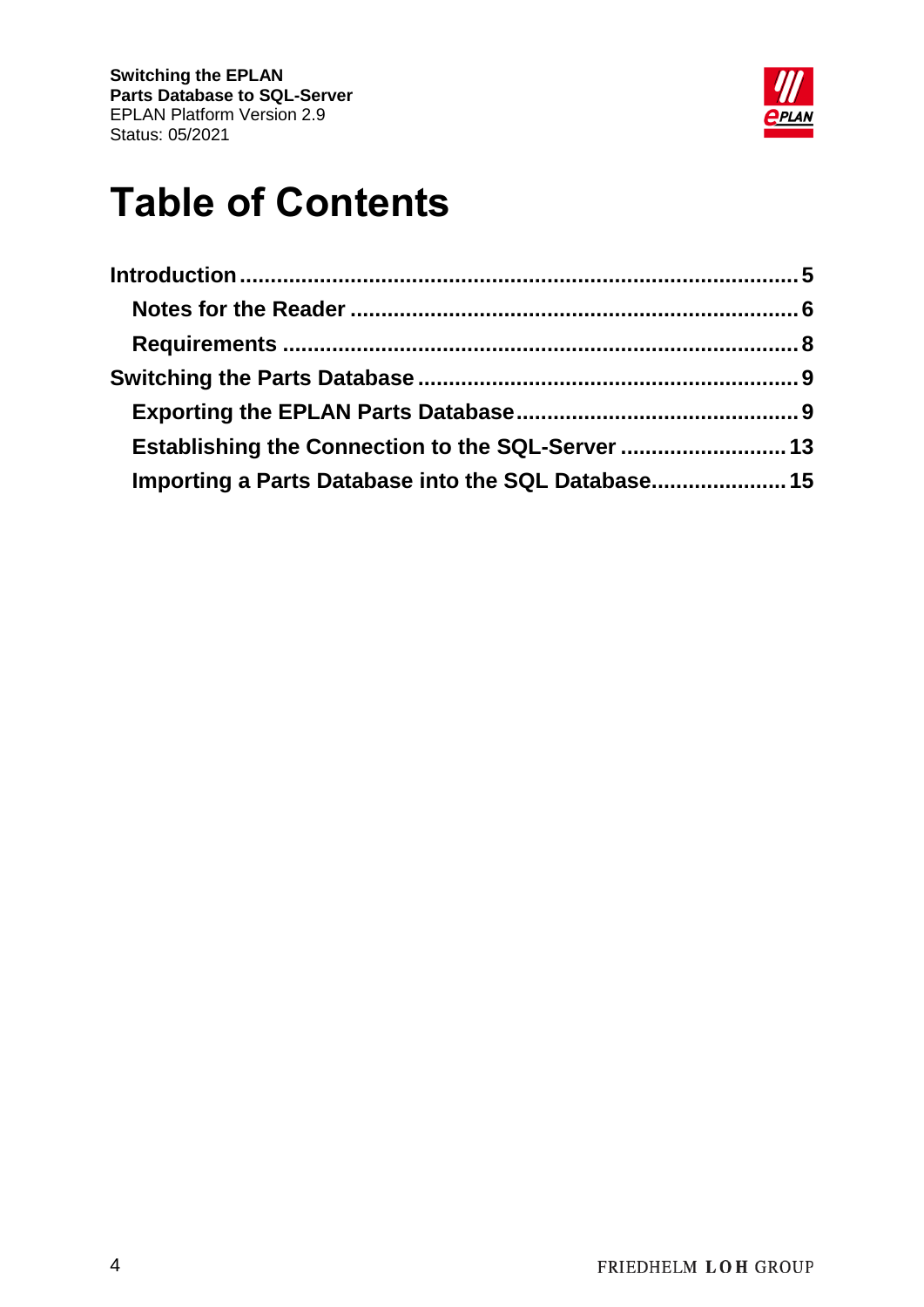

# **Table of Contents**

| Establishing the Connection to the SQL-Server  13   |  |
|-----------------------------------------------------|--|
| Importing a Parts Database into the SQL Database 15 |  |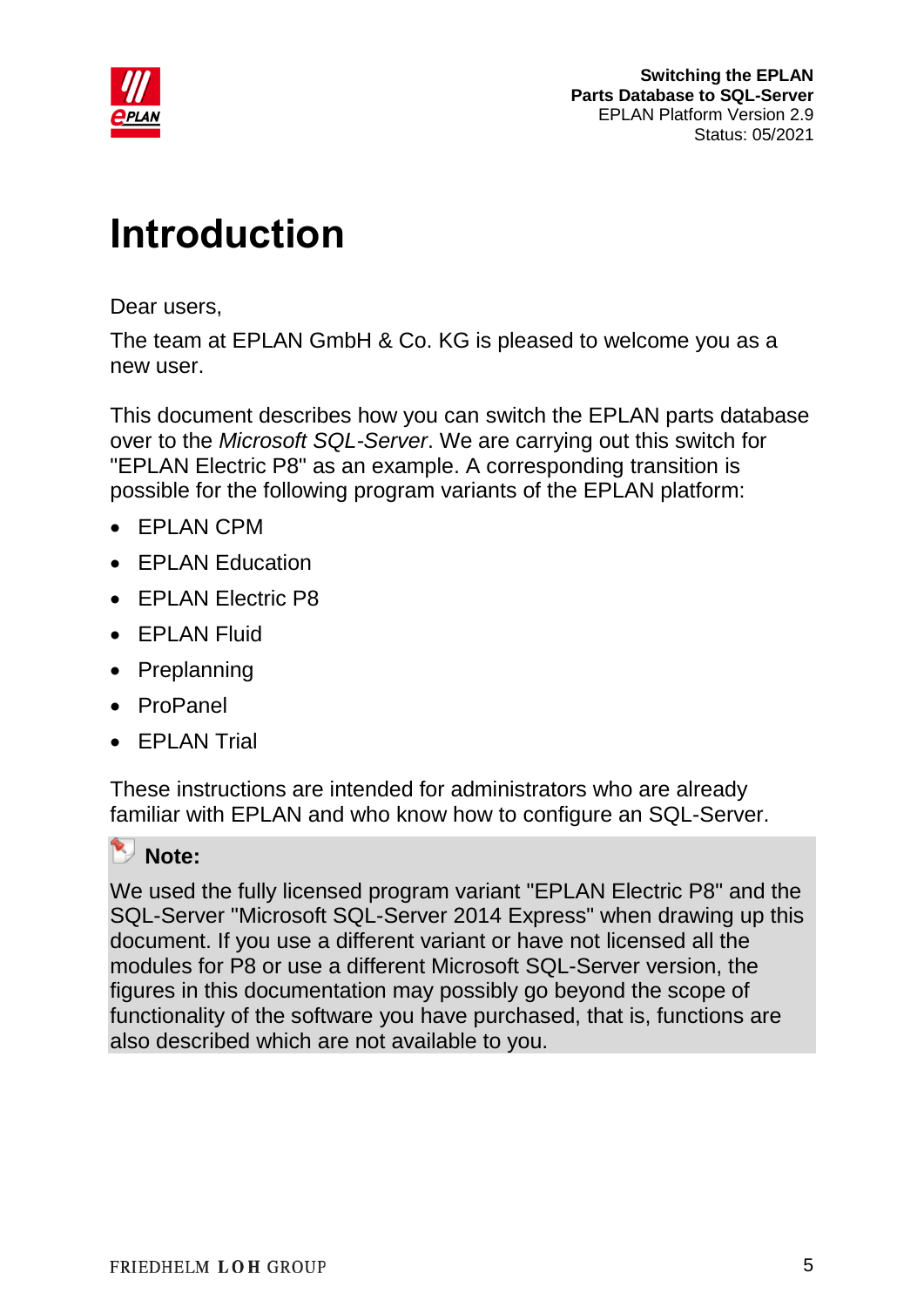

# <span id="page-4-0"></span>**Introduction**

Dear users,

The team at EPLAN GmbH & Co. KG is pleased to welcome you as a new user.

This document describes how you can switch the EPLAN parts database over to the *Microsoft SQL-Server*. We are carrying out this switch for "EPLAN Electric P8" as an example. A corresponding transition is possible for the following program variants of the EPLAN platform:

- EPLAN CPM
- EPLAN Education
- EPLAN Electric P8
- EPLAN Fluid
- Preplanning
- ProPanel
- FPI AN Trial

These instructions are intended for administrators who are already familiar with EPLAN and who know how to configure an SQL-Server.

### **Note:**

We used the fully licensed program variant "EPLAN Electric P8" and the SQL-Server "Microsoft SQL-Server 2014 Express" when drawing up this document. If you use a different variant or have not licensed all the modules for P8 or use a different Microsoft SQL-Server version, the figures in this documentation may possibly go beyond the scope of functionality of the software you have purchased, that is, functions are also described which are not available to you.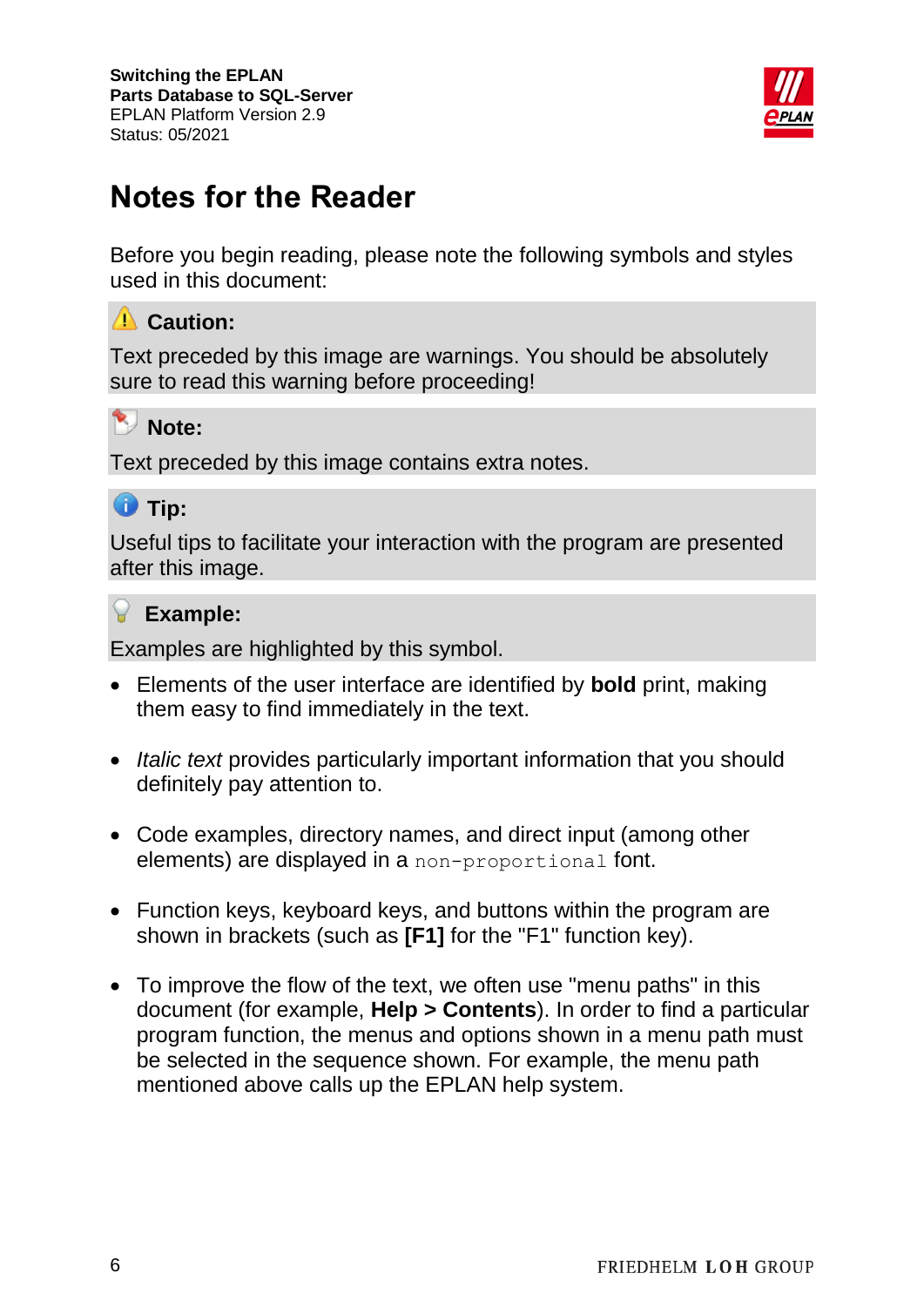

## <span id="page-5-0"></span>**Notes for the Reader**

Before you begin reading, please note the following symbols and styles used in this document:

### **Caution:**

Text preceded by this image are warnings. You should be absolutely sure to read this warning before proceeding!

### **Note:**

Text preceded by this image contains extra notes.

### **U** Tip:

Useful tips to facilitate your interaction with the program are presented after this image.

### **Example:**

Examples are highlighted by this symbol.

- Elements of the user interface are identified by **bold** print, making them easy to find immediately in the text.
- *Italic text* provides particularly important information that you should definitely pay attention to.
- Code examples, directory names, and direct input (among other elements) are displayed in a non-proportional font.
- Function keys, keyboard keys, and buttons within the program are shown in brackets (such as **[F1]** for the "F1" function key).
- To improve the flow of the text, we often use "menu paths" in this document (for example, **Help > Contents**). In order to find a particular program function, the menus and options shown in a menu path must be selected in the sequence shown. For example, the menu path mentioned above calls up the EPLAN help system.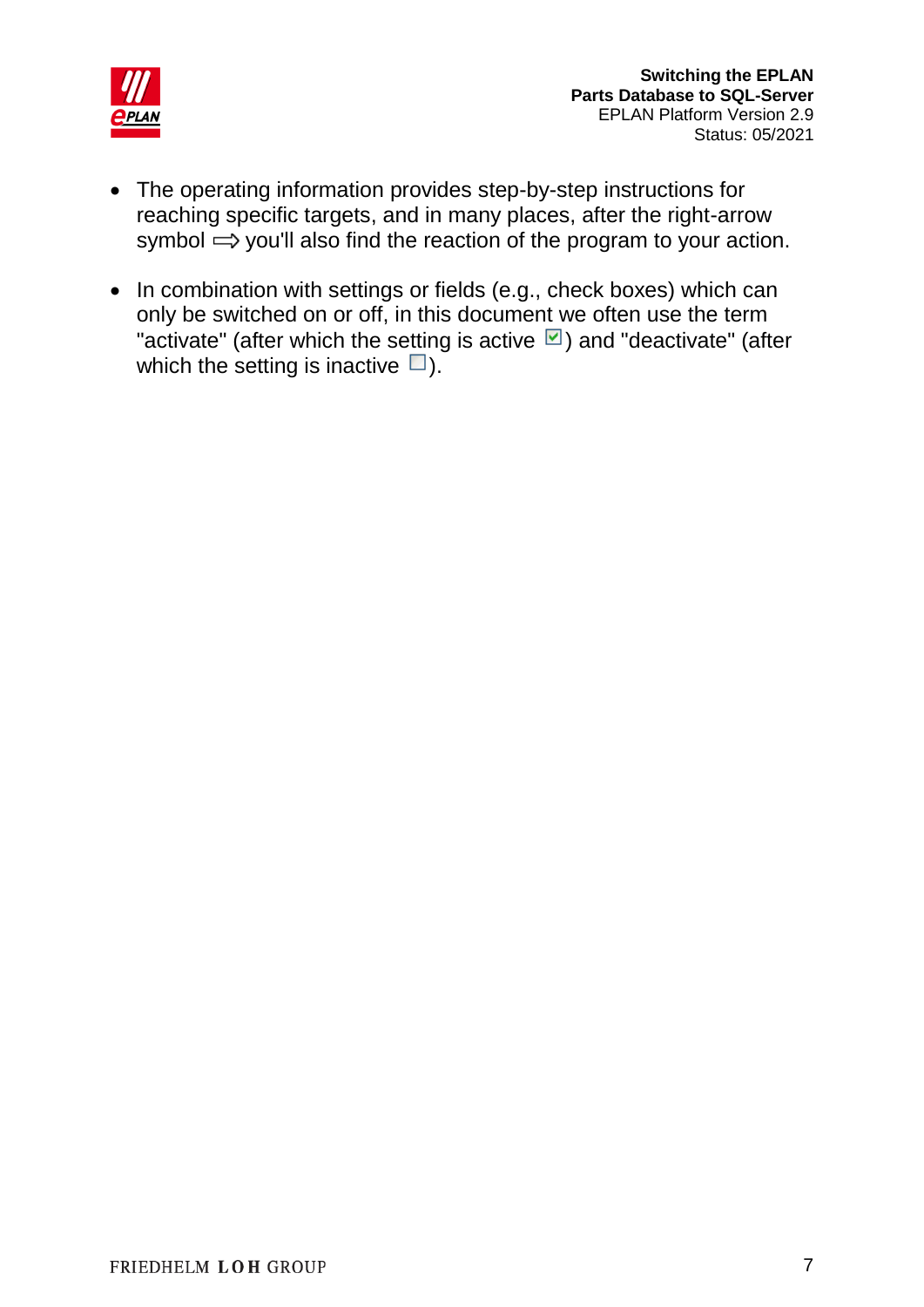

- The operating information provides step-by-step instructions for reaching specific targets, and in many places, after the right-arrow symbol  $\Rightarrow$  you'll also find the reaction of the program to your action.
- In combination with settings or fields (e.g., check boxes) which can only be switched on or off, in this document we often use the term "activate" (after which the setting is active  $\Box$ ) and "deactivate" (after which the setting is inactive  $\square$ ).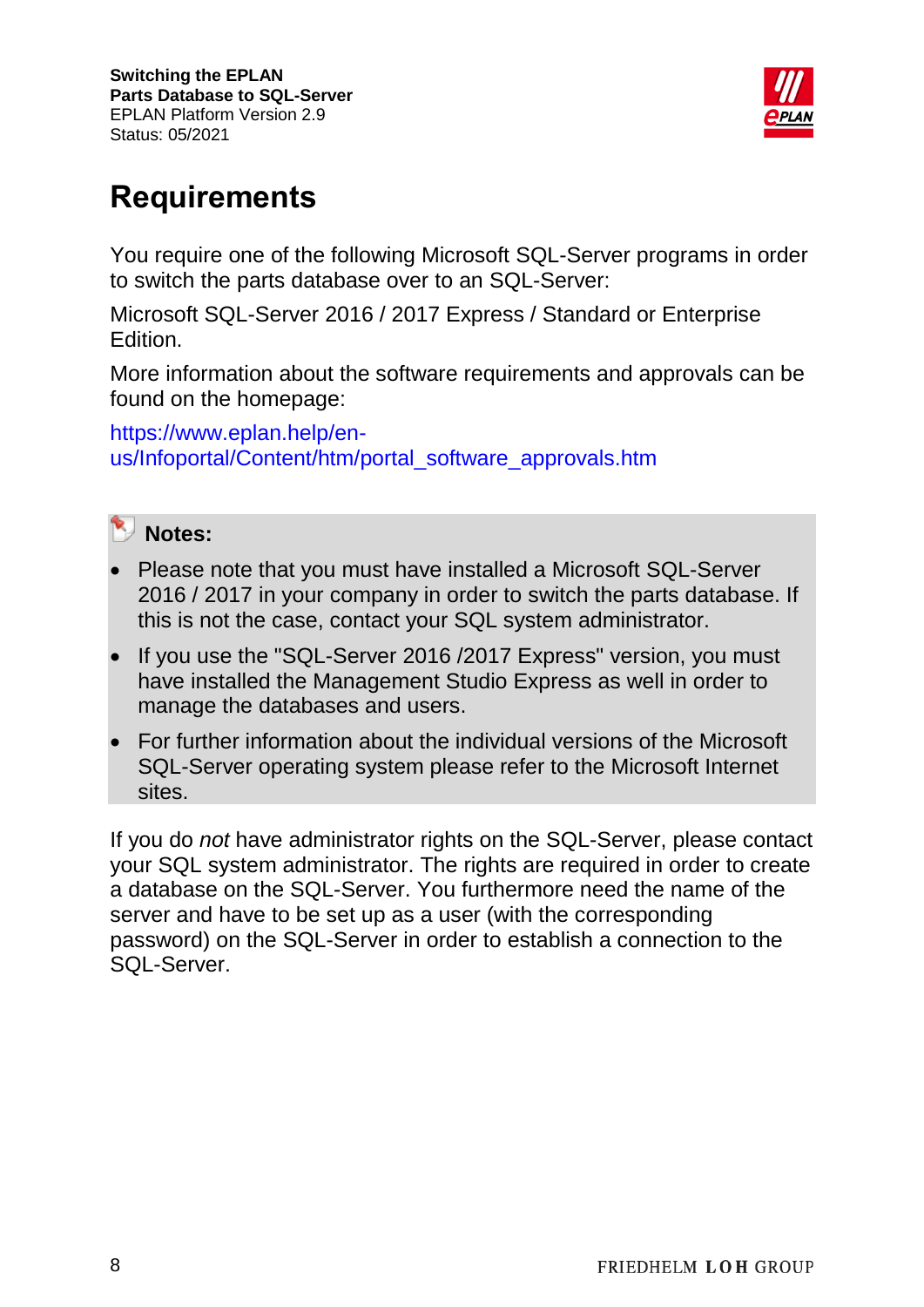

## <span id="page-7-0"></span>**Requirements**

You require one of the following Microsoft SQL-Server programs in order to switch the parts database over to an SQL-Server:

Microsoft SQL-Server 2016 / 2017 Express / Standard or Enterprise Edition.

More information about the software requirements and approvals can be found on the homepage:

[https://www.eplan.help/en](https://www.eplan.help/en-us/Infoportal/Content/htm/portal_software_approvals.htm)[us/Infoportal/Content/htm/portal\\_software\\_approvals.htm](https://www.eplan.help/en-us/Infoportal/Content/htm/portal_software_approvals.htm)



- Please note that you must have installed a Microsoft SQL-Server 2016 / 2017 in your company in order to switch the parts database. If this is not the case, contact your SQL system administrator.
- If you use the "SQL-Server 2016 / 2017 Express" version, you must have installed the Management Studio Express as well in order to manage the databases and users.
- For further information about the individual versions of the Microsoft SQL-Server operating system please refer to the Microsoft Internet sites.

If you do *not* have administrator rights on the SQL-Server, please contact your SQL system administrator. The rights are required in order to create a database on the SQL-Server. You furthermore need the name of the server and have to be set up as a user (with the corresponding password) on the SQL-Server in order to establish a connection to the SQL-Server.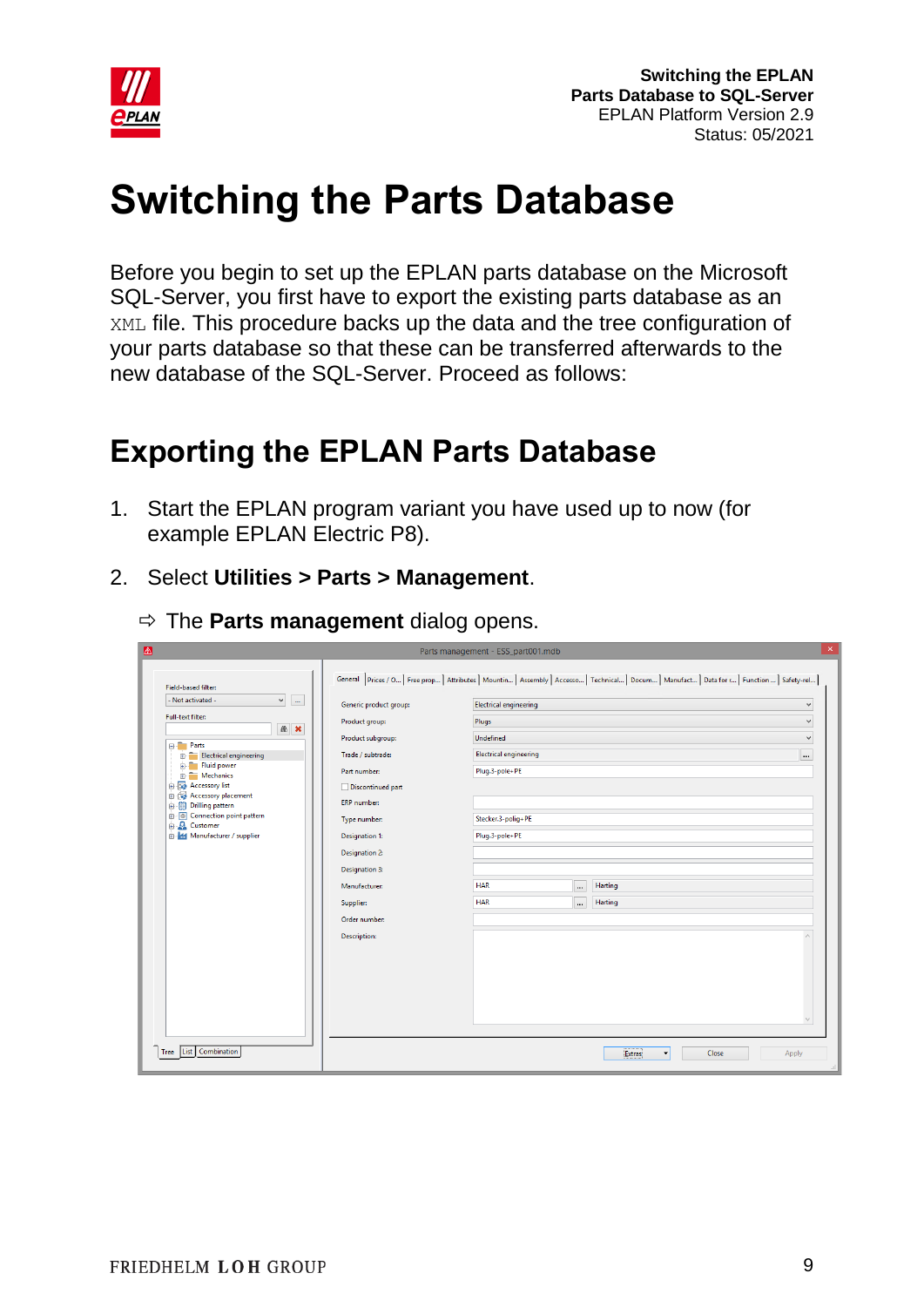

# <span id="page-8-0"></span>**Switching the Parts Database**

Before you begin to set up the EPLAN parts database on the Microsoft SQL-Server, you first have to export the existing parts database as an XML file. This procedure backs up the data and the tree configuration of your parts database so that these can be transferred afterwards to the new database of the SQL-Server. Proceed as follows:

## <span id="page-8-1"></span>**Exporting the EPLAN Parts Database**

- 1. Start the EPLAN program variant you have used up to now (for example EPLAN Electric P8).
- 2. Select **Utilities > Parts > Management**.

|                                                    |                        | Parts management - ESS_part001.mdb                                                                                                              |                           |
|----------------------------------------------------|------------------------|-------------------------------------------------------------------------------------------------------------------------------------------------|---------------------------|
| Field-based filter:                                |                        | General Prices / O   Free prop   Attributes   Mountin   Assembly   Accesso   Technical   Docum   Manufact   Data for r   Function    Safety-rel |                           |
| $\checkmark$<br>- Not activated -<br>$_{\rm m}$    | Generic product group: | Electrical engineering                                                                                                                          | v                         |
| Full-text filter:                                  | Product group:         | Plugs                                                                                                                                           | $\checkmark$              |
| 66 ×                                               | Product subgroup:      | Undefined                                                                                                                                       | $\checkmark$              |
| <b>E-Parts</b><br>Electrical engineering           | Trade / subtrade:      | <b>Electrical engineering</b>                                                                                                                   | $\cdots$                  |
| Fluid power<br>÷.<br>Mechanics                     | Part number:           | Plug.3-pole+PE                                                                                                                                  |                           |
| <b>E-R</b> Accessory list<br>Accessory placement   | Discontinued part      |                                                                                                                                                 |                           |
| <b>Drilling pattern</b><br>由的                      | <b>ERP</b> number:     |                                                                                                                                                 |                           |
| <b>B</b> Connection point pattern<br>A<br>Customer | Type number:           | Stecker.3-polig+PE                                                                                                                              |                           |
| <b>E-44</b> Manufacturer / supplier                | Designation 1:         | Plug.3-pole+PE                                                                                                                                  |                           |
|                                                    | <b>Designation 2:</b>  |                                                                                                                                                 |                           |
|                                                    | <b>Designation 3:</b>  |                                                                                                                                                 |                           |
|                                                    | Manufacturer:          | <b>HAR</b><br>Harting<br>                                                                                                                       |                           |
|                                                    | Supplier:              | <b>HAR</b><br>Harting<br>$\cdots$                                                                                                               |                           |
|                                                    | Order number:          |                                                                                                                                                 |                           |
|                                                    | Description:           |                                                                                                                                                 |                           |
|                                                    |                        |                                                                                                                                                 |                           |
|                                                    |                        |                                                                                                                                                 |                           |
|                                                    |                        |                                                                                                                                                 |                           |
|                                                    |                        |                                                                                                                                                 |                           |
|                                                    |                        |                                                                                                                                                 |                           |
|                                                    |                        |                                                                                                                                                 |                           |
| List Combination<br>Tree                           |                        | Extras                                                                                                                                          | Close<br>Apply<br>$\cdot$ |

 $\Rightarrow$  The **Parts management** dialog opens.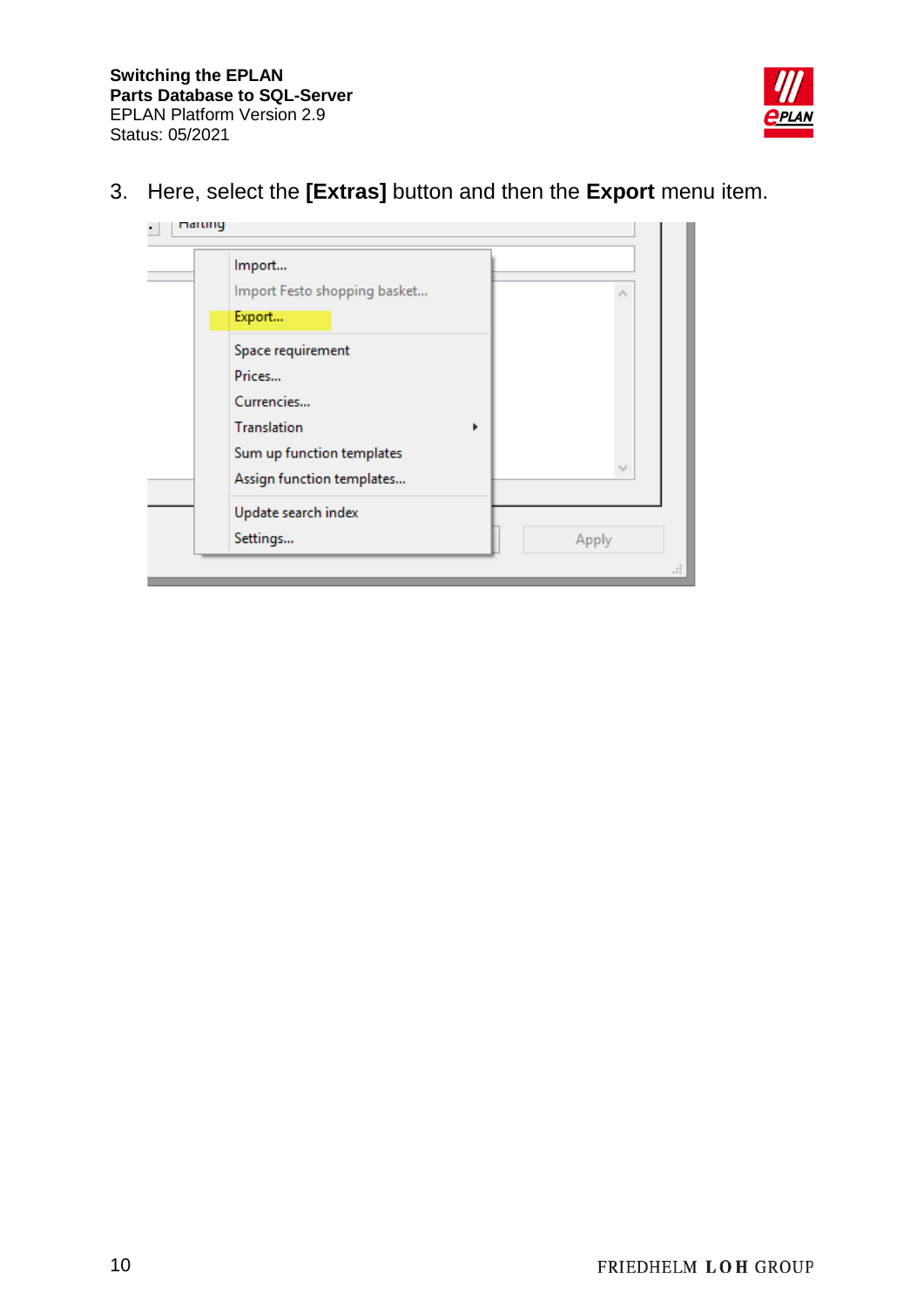

3. Here, select the **[Extras]** button and then the **Export** menu item.

| Import                       |       |
|------------------------------|-------|
| Import Festo shopping basket | ۸     |
| Export                       |       |
| Space requirement            |       |
| Prices                       |       |
| Currencies                   |       |
| <b>Translation</b><br>r      |       |
| Sum up function templates    |       |
| Assign function templates    |       |
| Update search index          |       |
| Settings                     | Apply |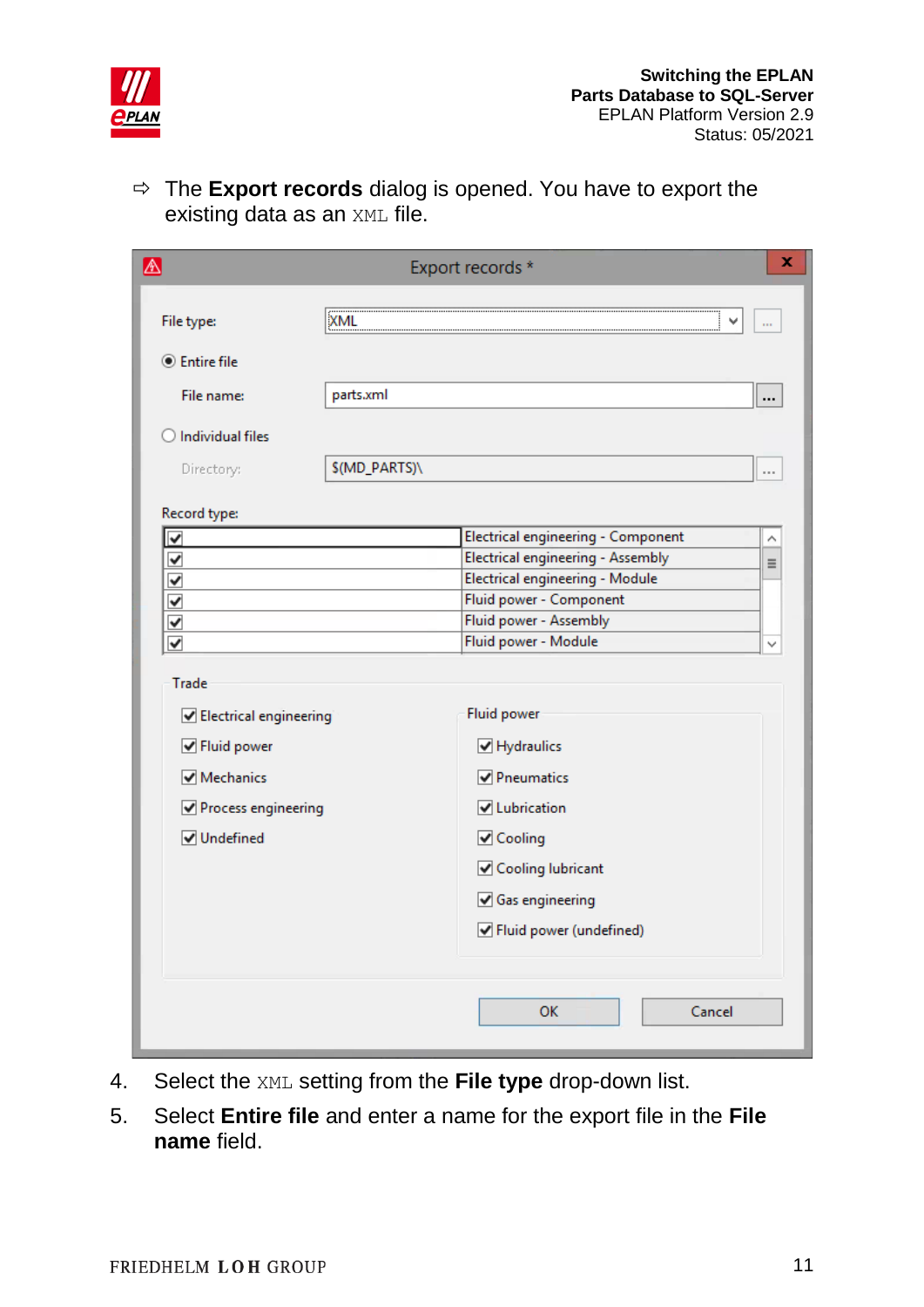

 The **Export records** dialog is opened. You have to export the existing data as an XML file.

| ⚠                                                                                                                 |               | Export records *                                                                                  | x        |
|-------------------------------------------------------------------------------------------------------------------|---------------|---------------------------------------------------------------------------------------------------|----------|
| File type:                                                                                                        | <b>XML</b>    |                                                                                                   | m        |
|                                                                                                                   |               |                                                                                                   |          |
| <b>●</b> Entire file                                                                                              |               |                                                                                                   |          |
| File name:                                                                                                        | parts.xml     |                                                                                                   |          |
| <b>Individual files</b>                                                                                           |               |                                                                                                   |          |
| Directory:                                                                                                        | \$(MD_PARTS)\ |                                                                                                   | $\cdots$ |
|                                                                                                                   |               |                                                                                                   |          |
| Record type:<br>$\blacktriangledown$                                                                              |               | Electrical engineering - Component                                                                | Λ        |
| $\checkmark$                                                                                                      |               | Electrical engineering - Assembly                                                                 | $\equiv$ |
| $\checkmark$                                                                                                      |               | Electrical engineering - Module                                                                   |          |
| $\checkmark$                                                                                                      |               | Fluid power - Component                                                                           |          |
| ✔                                                                                                                 |               | Fluid power - Assembly                                                                            |          |
| $\overline{\mathbf{v}}$                                                                                           |               | Fluid power - Module                                                                              |          |
| Trade<br>Electrical engineering<br><b>√</b> Fluid power<br>Mechanics<br>Process engineering<br><b>√</b> Undefined |               | Fluid power<br>Hydraulics<br>Pneumatics<br><b>V</b> Lubrication<br>✔ Cooling<br>Cooling lubricant |          |
|                                                                                                                   |               | Gas engineering<br>☑ Fluid power (undefined)<br><b>OK</b><br>Cancel                               |          |

- 4. Select the XML setting from the **File type** drop-down list.
- 5. Select **Entire file** and enter a name for the export file in the **File name** field.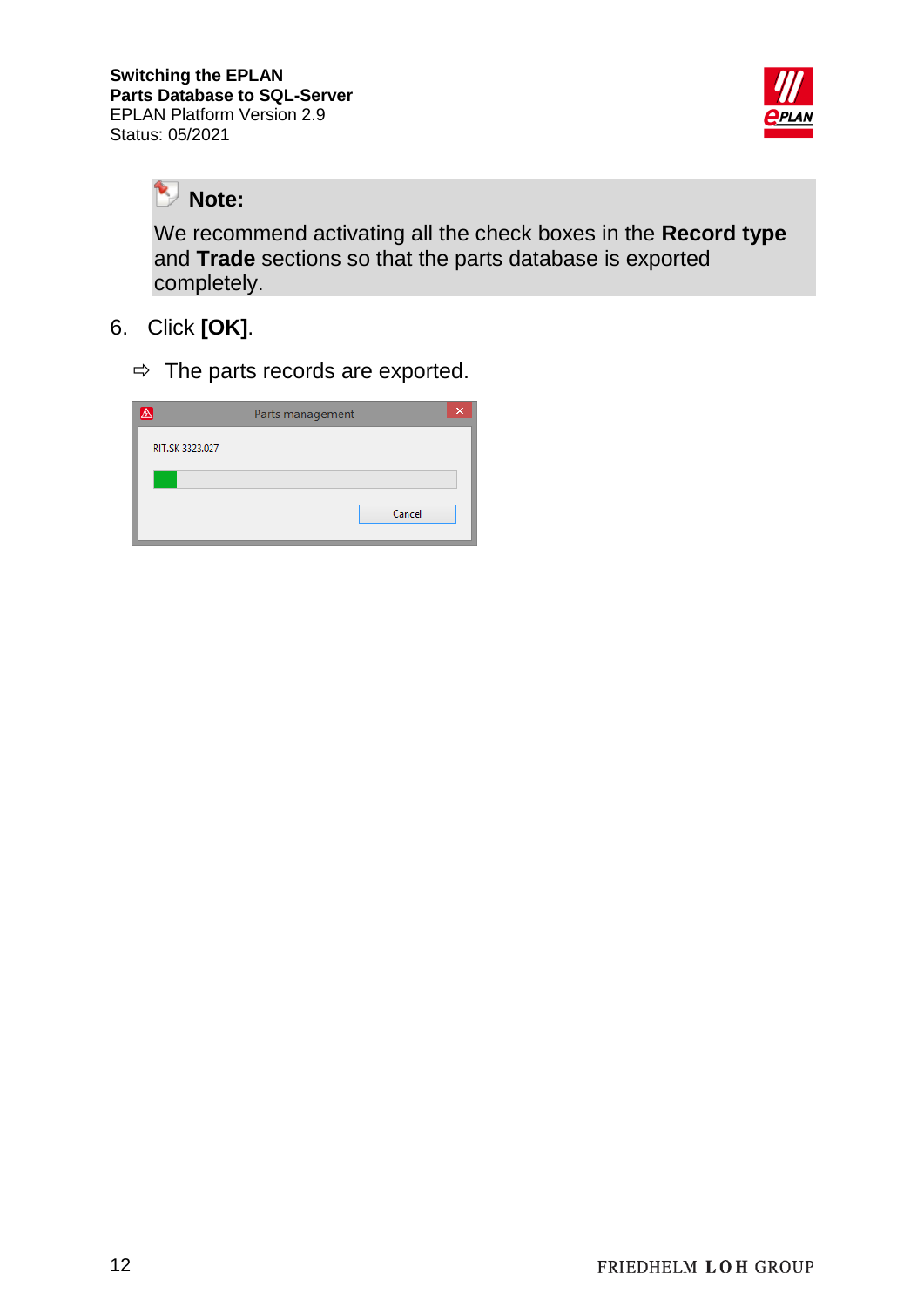

乀 **Note:**

We recommend activating all the check boxes in the **Record type** and **Trade** sections so that the parts database is exported completely.

- 6. Click **[OK]**.
	- $\Rightarrow$  The parts records are exported.

| A               | Parts management |  |
|-----------------|------------------|--|
| RIT.SK 3323.027 |                  |  |
|                 |                  |  |
|                 | Cancel           |  |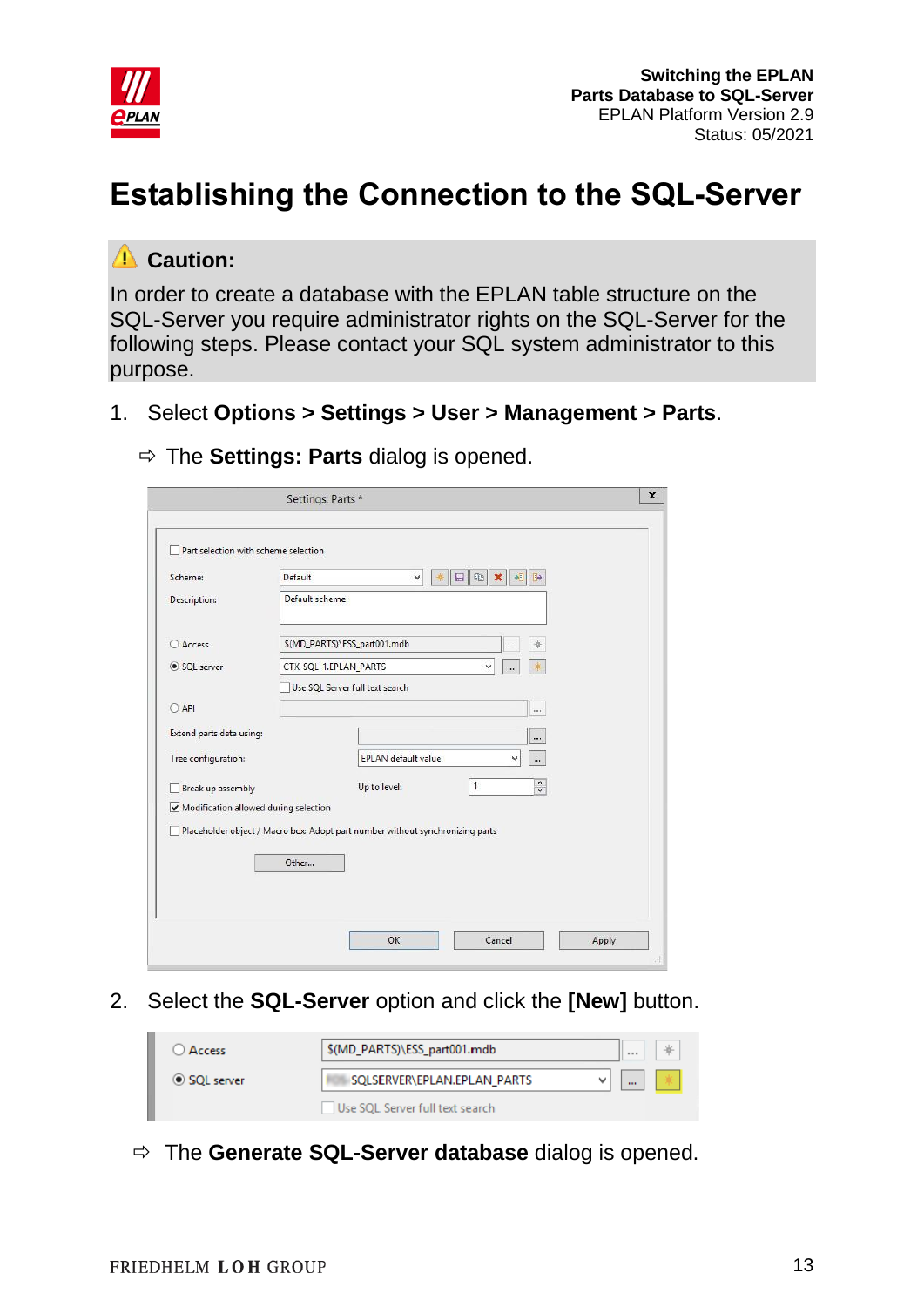

## <span id="page-12-0"></span>**Establishing the Connection to the SQL-Server**

### **Caution:**

In order to create a database with the EPLAN table structure on the SQL-Server you require administrator rights on the SQL-Server for the following steps. Please contact your SQL system administrator to this purpose.

1. Select **Options > Settings > User > Management > Parts**.

|                                       | Settings: Parts *                                                             | $\mathbf{x}$ |
|---------------------------------------|-------------------------------------------------------------------------------|--------------|
| Part selection with scheme selection  |                                                                               |              |
| Scheme:                               | Default<br>$\mathbb{E}$<br>日<br>相<br>$\mathbb{R}$<br>v                        |              |
| <b>Description:</b>                   | Default scheme                                                                |              |
| O Access                              | \$(MD_PARTS)\ESS_part001.mdb<br>$\cdots$                                      |              |
| SQL server                            | CTX-SQL-1.EPLAN_PARTS<br>v<br>                                                |              |
|                                       | Use SOL Server full text search                                               |              |
| $O$ API                               | $\cdots$                                                                      |              |
| Extend parts data using:              |                                                                               |              |
| Tree configuration:                   | EPLAN default value<br>v<br>$\cdots$                                          |              |
| Break up assembly                     | $\hat{\phantom{a}}$<br>$\mathbf{1}$<br>Up to level:<br>$\checkmark$           |              |
| Modification allowed during selection |                                                                               |              |
|                                       | Placeholder object / Macro box: Adopt part number without synchronizing parts |              |
|                                       | Other                                                                         |              |
|                                       |                                                                               |              |
|                                       |                                                                               |              |
|                                       |                                                                               |              |
|                                       | Cancel<br>OK<br>Apply                                                         |              |

The **Settings: Parts** dialog is opened.

2. Select the **SQL-Server** option and click the **[New]** button.

| Access       | \$(MD_PARTS)\ESS_part001.mdb    | $\sim$ $\sim$ $\sim$ | ⋇ |
|--------------|---------------------------------|----------------------|---|
| ◎ SQL server | SOLSERVER\EPLAN.EPLAN PARTS     | $\cdots$             |   |
|              | Use SQL Server full text search |                      |   |

The **Generate SQL-Server database** dialog is opened.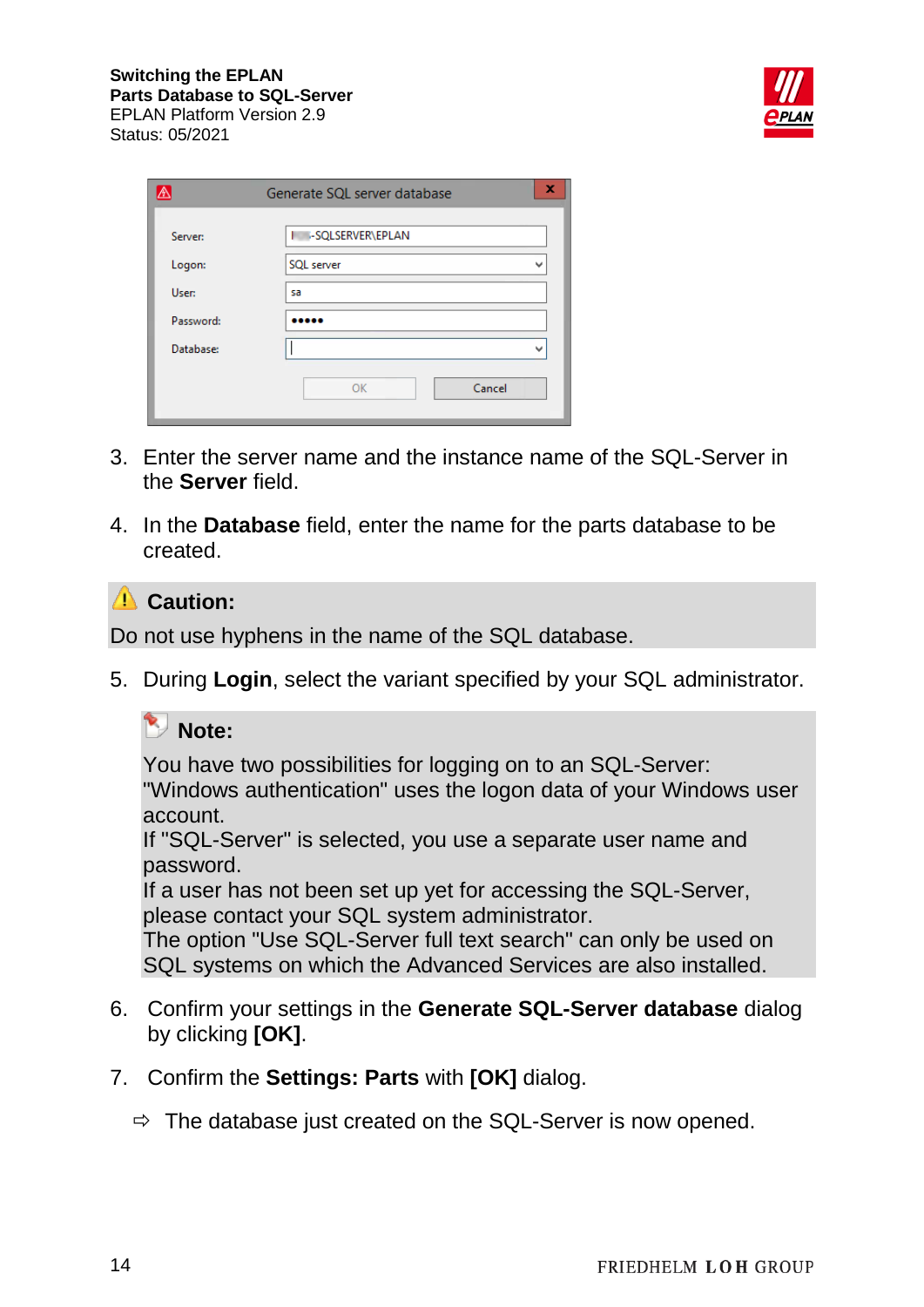

| ⚠         | Generate SQL server database |  |  |
|-----------|------------------------------|--|--|
| Server:   | -SQLSERVER\EPLAN             |  |  |
| Logon:    | SQL server                   |  |  |
| User:     | sa                           |  |  |
| Password: |                              |  |  |
| Database: |                              |  |  |
|           | Cancel<br>OK                 |  |  |

- 3. Enter the server name and the instance name of the SQL-Server in the **Server** field.
- 4. In the **Database** field, enter the name for the parts database to be created.

### **Caution:**

Do not use hyphens in the name of the SQL database.

5. During **Login**, select the variant specified by your SQL administrator.

#### **Note:**

You have two possibilities for logging on to an SQL-Server: "Windows authentication" uses the logon data of your Windows user

account.

If "SQL-Server" is selected, you use a separate user name and password.

If a user has not been set up yet for accessing the SQL-Server, please contact your SQL system administrator.

The option "Use SQL-Server full text search" can only be used on SQL systems on which the Advanced Services are also installed.

- 6. Confirm your settings in the **Generate SQL-Server database** dialog by clicking **[OK]**.
- 7. Confirm the **Settings: Parts** with **[OK]** dialog.
	- $\Rightarrow$  The database just created on the SQL-Server is now opened.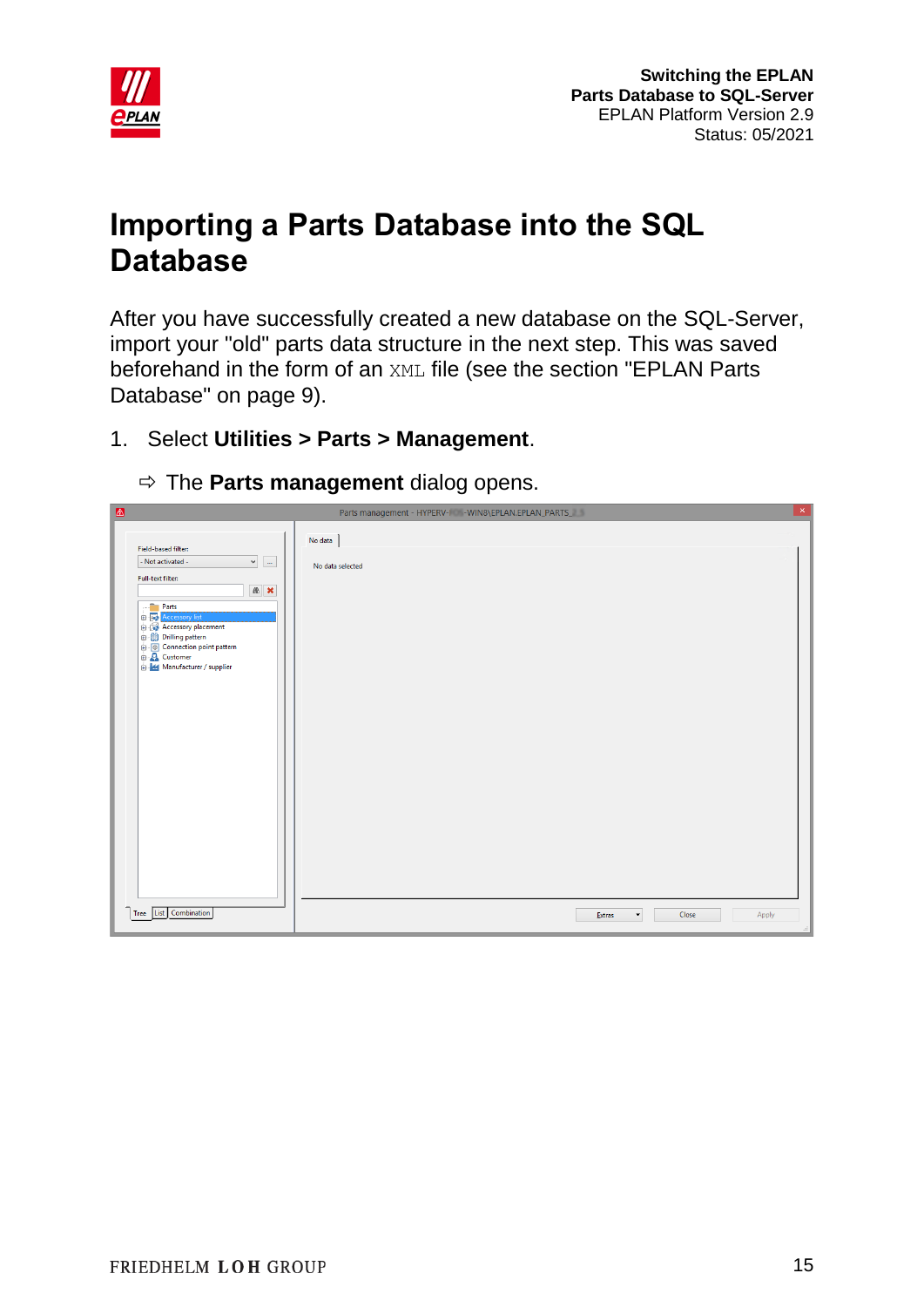

## <span id="page-14-0"></span>**Importing a Parts Database into the SQL Database**

After you have successfully created a new database on the SQL-Server, import your "old" parts data structure in the next step. This was saved beforehand in the form of an XML file (see the section "EPLAN Parts Database" on page 9).

- 1. Select **Utilities > Parts > Management**.
	- $\Rightarrow$  The **Parts management** dialog opens.

| $\triangle$                                               | Parts management - HYPERV-I - WIN8\EPLAN.EPLAN_PARTS_<br>╹┸╎ |
|-----------------------------------------------------------|--------------------------------------------------------------|
|                                                           | No data                                                      |
| Field-based filter:                                       |                                                              |
| $\checkmark$<br>- Not activated -<br>$\dot{m}$            | No data selected                                             |
| Full-text filter:                                         |                                                              |
| ● ×                                                       |                                                              |
| Parts                                                     |                                                              |
| <b>B</b> - <b>B</b> Accessory list<br>Accessory placement |                                                              |
| <b>Drilling pattern</b>                                   |                                                              |
| <b>D</b> Connection point pattern                         |                                                              |
| <b>D</b> Customer<br>B- <b>H</b> Manufacturer / supplier  |                                                              |
|                                                           |                                                              |
|                                                           |                                                              |
|                                                           |                                                              |
|                                                           |                                                              |
|                                                           |                                                              |
|                                                           |                                                              |
|                                                           |                                                              |
|                                                           |                                                              |
|                                                           |                                                              |
|                                                           |                                                              |
|                                                           |                                                              |
|                                                           |                                                              |
|                                                           |                                                              |
|                                                           |                                                              |
|                                                           |                                                              |
|                                                           |                                                              |
|                                                           |                                                              |
|                                                           |                                                              |
|                                                           |                                                              |
|                                                           |                                                              |
|                                                           |                                                              |
| Tree List Combination                                     | Close<br>Apply<br>Extras<br>$\blacktriangledown$             |
|                                                           |                                                              |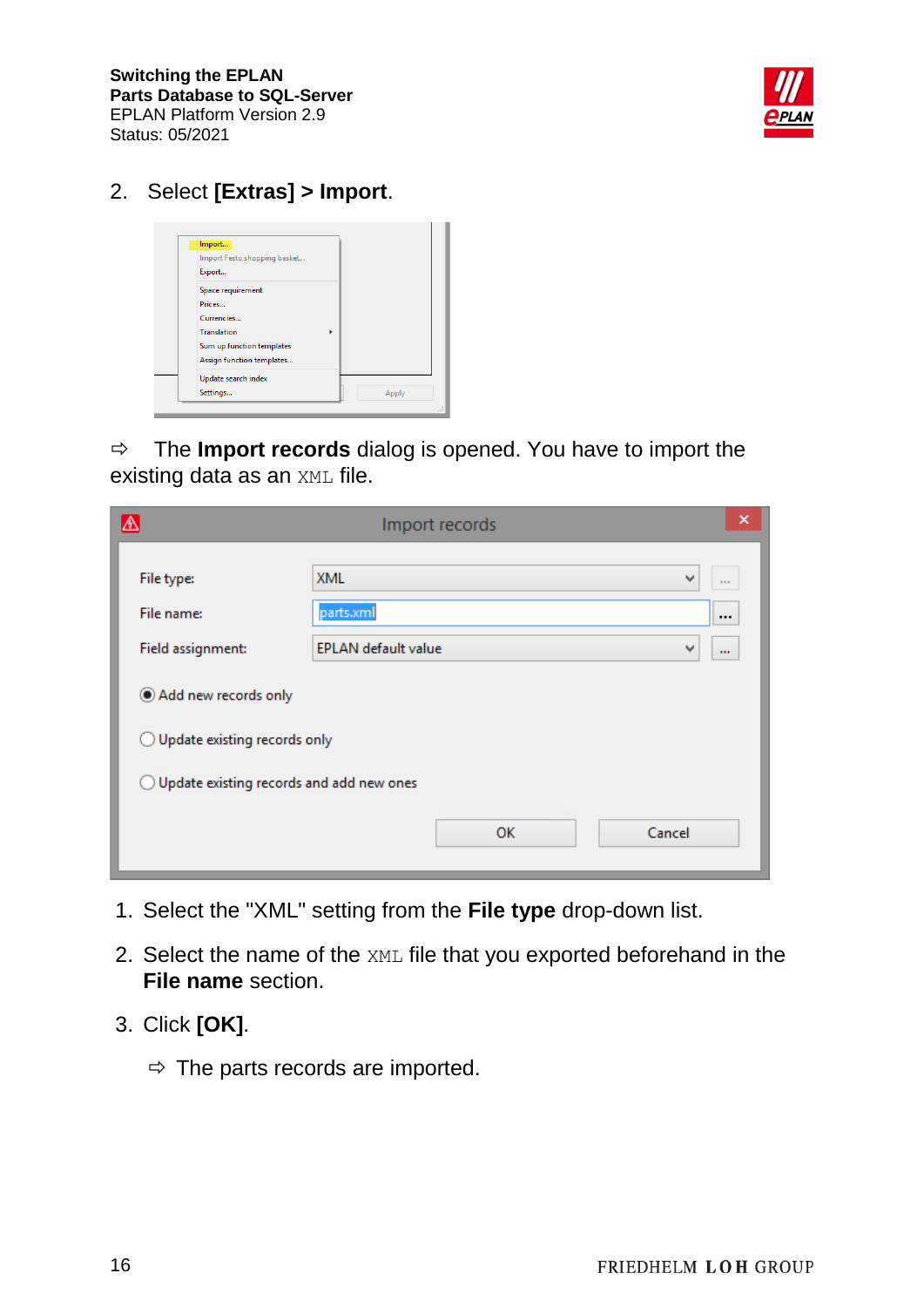**Switching the EPLAN Parts Database to SQL-Server** EPLAN Platform Version 2.9 Status: 05/2021



#### 2. Select **[Extras] > Import**.



 $\Rightarrow$  The **Import records** dialog is opened. You have to import the existing data as an XML file.

| $\mathbb A$                                         | Import records                  | ×            |  |  |
|-----------------------------------------------------|---------------------------------|--------------|--|--|
| File type:                                          | <b>XML</b><br>v                 | $\mathbf{r}$ |  |  |
| File name:                                          | parts.xml                       | $\cdots$     |  |  |
| Field assignment:                                   | <b>EPLAN</b> default value<br>v | $\cdots$     |  |  |
| Add new records only                                |                                 |              |  |  |
| $\bigcirc$ Update existing records only             |                                 |              |  |  |
| $\bigcirc$ Update existing records and add new ones |                                 |              |  |  |
|                                                     | OK<br>Cancel                    |              |  |  |

- 1. Select the "XML" setting from the **File type** drop-down list.
- 2. Select the name of the XML file that you exported beforehand in the **File name** section.
- 3. Click **[OK]**.
	- $\Rightarrow$  The parts records are imported.